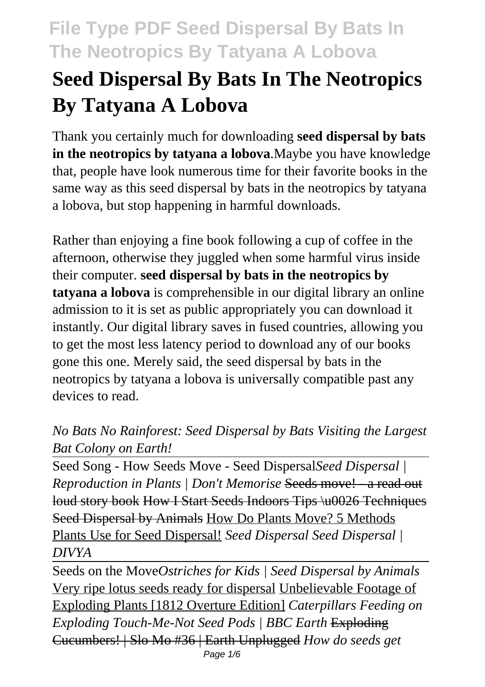# **Seed Dispersal By Bats In The Neotropics By Tatyana A Lobova**

Thank you certainly much for downloading **seed dispersal by bats in the neotropics by tatyana a lobova**.Maybe you have knowledge that, people have look numerous time for their favorite books in the same way as this seed dispersal by bats in the neotropics by tatyana a lobova, but stop happening in harmful downloads.

Rather than enjoying a fine book following a cup of coffee in the afternoon, otherwise they juggled when some harmful virus inside their computer. **seed dispersal by bats in the neotropics by tatyana a lobova** is comprehensible in our digital library an online admission to it is set as public appropriately you can download it instantly. Our digital library saves in fused countries, allowing you to get the most less latency period to download any of our books gone this one. Merely said, the seed dispersal by bats in the neotropics by tatyana a lobova is universally compatible past any devices to read.

#### *No Bats No Rainforest: Seed Dispersal by Bats Visiting the Largest Bat Colony on Earth!*

Seed Song - How Seeds Move - Seed Dispersal*Seed Dispersal | Reproduction in Plants | Don't Memorise* Seeds move! - a read out loud story book How I Start Seeds Indoors Tips \u0026 Techniques Seed Dispersal by Animals How Do Plants Move? 5 Methods Plants Use for Seed Dispersal! *Seed Dispersal Seed Dispersal | DIVYA*

Seeds on the Move*Ostriches for Kids | Seed Dispersal by Animals* Very ripe lotus seeds ready for dispersal Unbelievable Footage of Exploding Plants [1812 Overture Edition] *Caterpillars Feeding on Exploding Touch-Me-Not Seed Pods | BBC Earth* Exploding Cucumbers! | Slo Mo #36 | Earth Unplugged *How do seeds get* Page 1/6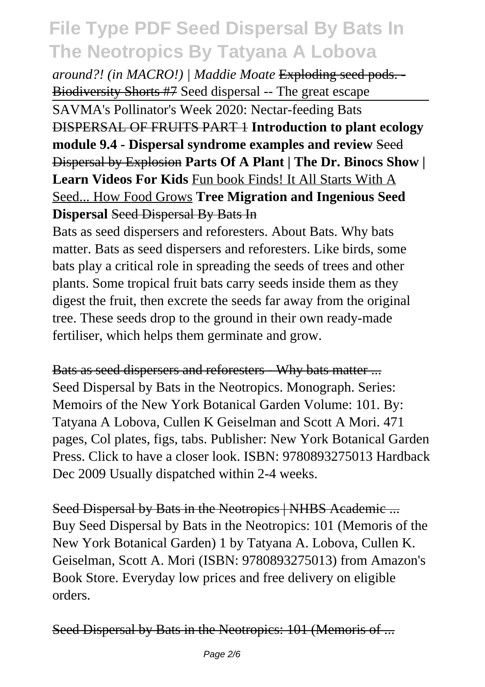*around?! (in MACRO!) | Maddie Moate* Exploding seed pods. - Biodiversity Shorts #7 Seed dispersal -- The great escape

SAVMA's Pollinator's Week 2020: Nectar-feeding Bats DISPERSAL OF FRUITS PART 1 **Introduction to plant ecology module 9.4 - Dispersal syndrome examples and review** Seed Dispersal by Explosion **Parts Of A Plant | The Dr. Binocs Show | Learn Videos For Kids** Fun book Finds! It All Starts With A Seed... How Food Grows **Tree Migration and Ingenious Seed Dispersal** Seed Dispersal By Bats In

Bats as seed dispersers and reforesters. About Bats. Why bats matter. Bats as seed dispersers and reforesters. Like birds, some bats play a critical role in spreading the seeds of trees and other plants. Some tropical fruit bats carry seeds inside them as they digest the fruit, then excrete the seeds far away from the original tree. These seeds drop to the ground in their own ready-made fertiliser, which helps them germinate and grow.

Bats as seed dispersers and reforesters - Why bats matter ... Seed Dispersal by Bats in the Neotropics. Monograph. Series: Memoirs of the New York Botanical Garden Volume: 101. By: Tatyana A Lobova, Cullen K Geiselman and Scott A Mori. 471 pages, Col plates, figs, tabs. Publisher: New York Botanical Garden Press. Click to have a closer look. ISBN: 9780893275013 Hardback Dec 2009 Usually dispatched within 2-4 weeks.

Seed Dispersal by Bats in the Neotropics | NHBS Academic ... Buy Seed Dispersal by Bats in the Neotropics: 101 (Memoris of the New York Botanical Garden) 1 by Tatyana A. Lobova, Cullen K. Geiselman, Scott A. Mori (ISBN: 9780893275013) from Amazon's Book Store. Everyday low prices and free delivery on eligible orders.

Seed Dispersal by Bats in the Neotropics: 101 (Memoris of ...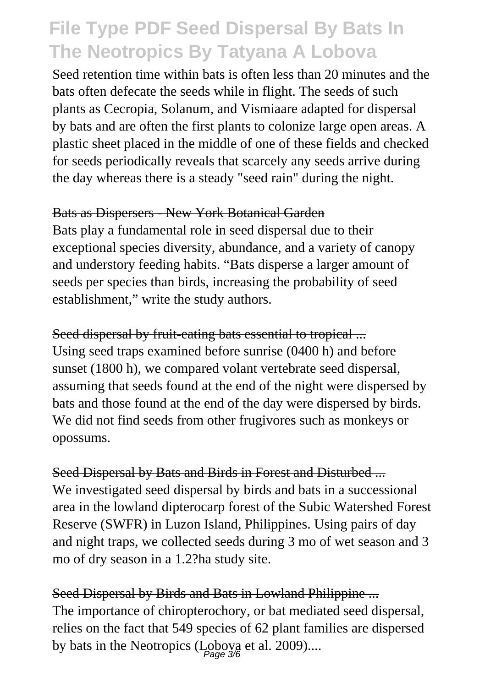Seed retention time within bats is often less than 20 minutes and the bats often defecate the seeds while in flight. The seeds of such plants as Cecropia, Solanum, and Vismiaare adapted for dispersal by bats and are often the first plants to colonize large open areas. A plastic sheet placed in the middle of one of these fields and checked for seeds periodically reveals that scarcely any seeds arrive during the day whereas there is a steady "seed rain" during the night.

#### Bats as Dispersers - New York Botanical Garden

Bats play a fundamental role in seed dispersal due to their exceptional species diversity, abundance, and a variety of canopy and understory feeding habits. "Bats disperse a larger amount of seeds per species than birds, increasing the probability of seed establishment," write the study authors.

Seed dispersal by fruit-eating bats essential to tropical ... Using seed traps examined before sunrise (0400 h) and before sunset (1800 h), we compared volant vertebrate seed dispersal, assuming that seeds found at the end of the night were dispersed by bats and those found at the end of the day were dispersed by birds. We did not find seeds from other frugivores such as monkeys or opossums.

Seed Dispersal by Bats and Birds in Forest and Disturbed ... We investigated seed dispersal by birds and bats in a successional area in the lowland dipterocarp forest of the Subic Watershed Forest Reserve (SWFR) in Luzon Island, Philippines. Using pairs of day and night traps, we collected seeds during 3 mo of wet season and 3 mo of dry season in a 1.2?ha study site.

Seed Dispersal by Birds and Bats in Lowland Philippine ... The importance of chiropterochory, or bat mediated seed dispersal, relies on the fact that 549 species of 62 plant families are dispersed by bats in the Neotropics ( $L_{\text{Page 3/6}}$  et al. 2009)....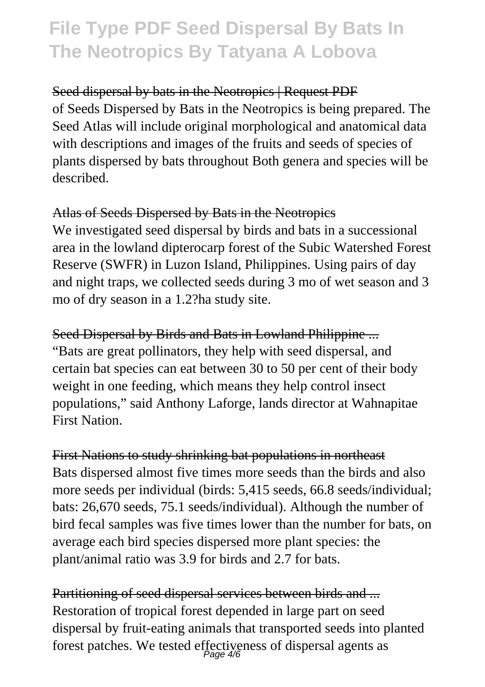Seed dispersal by bats in the Neotropics | Request PDF of Seeds Dispersed by Bats in the Neotropics is being prepared. The Seed Atlas will include original morphological and anatomical data with descriptions and images of the fruits and seeds of species of plants dispersed by bats throughout Both genera and species will be described.

#### Atlas of Seeds Dispersed by Bats in the Neotropics

We investigated seed dispersal by birds and bats in a successional area in the lowland dipterocarp forest of the Subic Watershed Forest Reserve (SWFR) in Luzon Island, Philippines. Using pairs of day and night traps, we collected seeds during 3 mo of wet season and 3 mo of dry season in a 1.2?ha study site.

Seed Dispersal by Birds and Bats in Lowland Philippine ... "Bats are great pollinators, they help with seed dispersal, and certain bat species can eat between 30 to 50 per cent of their body weight in one feeding, which means they help control insect populations," said Anthony Laforge, lands director at Wahnapitae First Nation.

First Nations to study shrinking bat populations in northeast Bats dispersed almost five times more seeds than the birds and also more seeds per individual (birds: 5,415 seeds, 66.8 seeds/individual; bats: 26,670 seeds, 75.1 seeds/individual). Although the number of bird fecal samples was five times lower than the number for bats, on average each bird species dispersed more plant species: the plant/animal ratio was 3.9 for birds and 2.7 for bats.

Partitioning of seed dispersal services between birds and ... Restoration of tropical forest depended in large part on seed dispersal by fruit-eating animals that transported seeds into planted forest patches. We tested effectiveness of dispersal agents as Page 4/6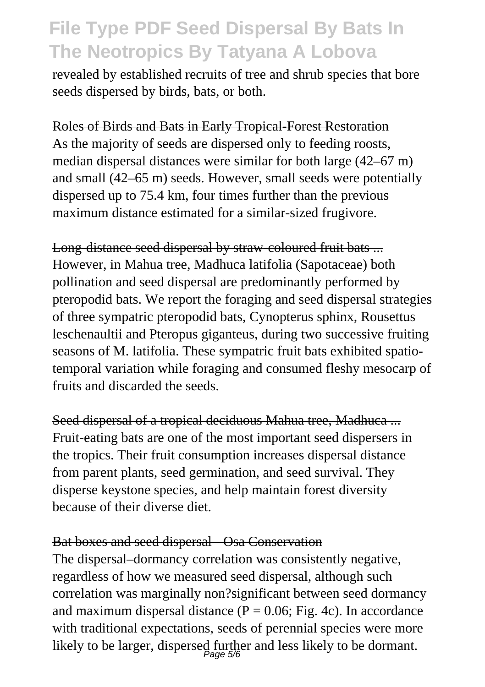revealed by established recruits of tree and shrub species that bore seeds dispersed by birds, bats, or both.

#### Roles of Birds and Bats in Early Tropical-Forest Restoration

As the majority of seeds are dispersed only to feeding roosts, median dispersal distances were similar for both large (42–67 m) and small (42–65 m) seeds. However, small seeds were potentially dispersed up to 75.4 km, four times further than the previous maximum distance estimated for a similar-sized frugivore.

Long-distance seed dispersal by straw-coloured fruit bats ... However, in Mahua tree, Madhuca latifolia (Sapotaceae) both pollination and seed dispersal are predominantly performed by pteropodid bats. We report the foraging and seed dispersal strategies of three sympatric pteropodid bats, Cynopterus sphinx, Rousettus leschenaultii and Pteropus giganteus, during two successive fruiting seasons of M. latifolia. These sympatric fruit bats exhibited spatiotemporal variation while foraging and consumed fleshy mesocarp of fruits and discarded the seeds.

Seed dispersal of a tropical deciduous Mahua tree, Madhuca ... Fruit-eating bats are one of the most important seed dispersers in the tropics. Their fruit consumption increases dispersal distance from parent plants, seed germination, and seed survival. They disperse keystone species, and help maintain forest diversity because of their diverse diet.

#### Bat boxes and seed dispersal - Osa Conservation

The dispersal–dormancy correlation was consistently negative, regardless of how we measured seed dispersal, although such correlation was marginally non?significant between seed dormancy and maximum dispersal distance  $(P = 0.06$ ; Fig. 4c). In accordance with traditional expectations, seeds of perennial species were more likely to be larger, dispersed further and less likely to be dormant.